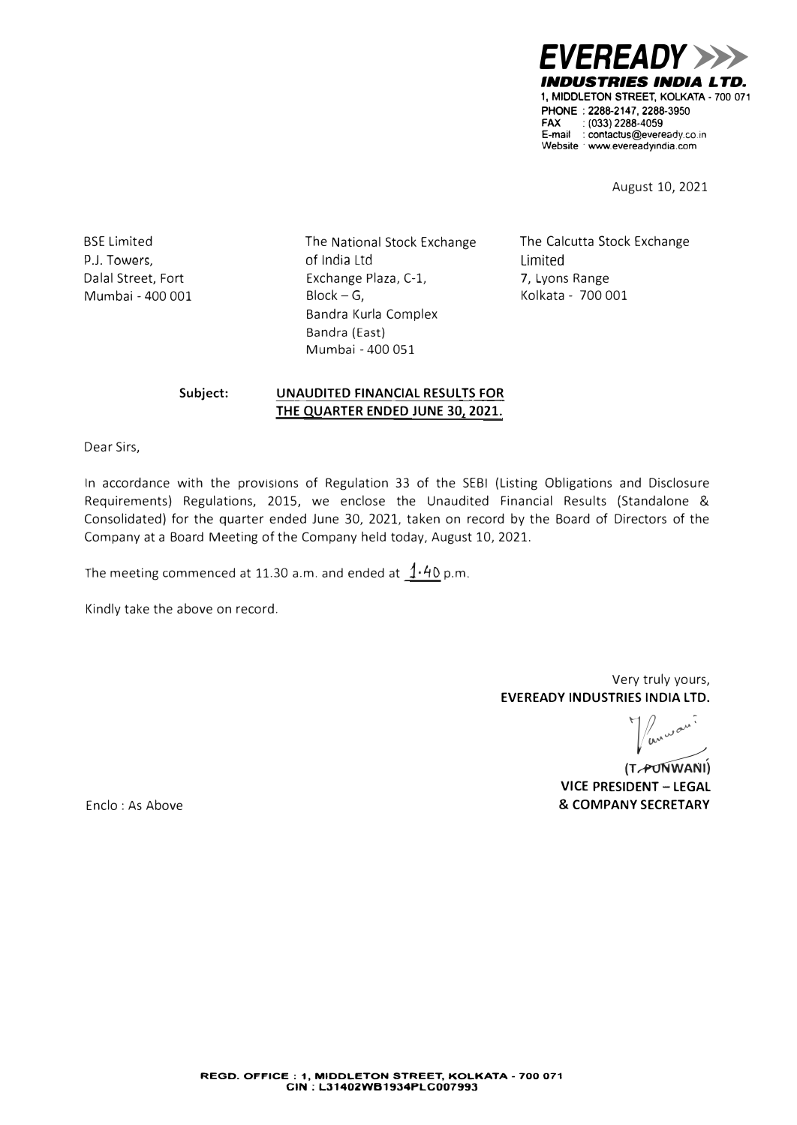*EVEREADY>>> INDUSTRIES INDIA LTD.*  1, MIDDLETON STREET, KOLKATA • 700 071 PHONE : 2288-2147, 2288-3950 FAX : (033) 2288-4059 E-mail : contactus@eveready.co.i<sup>n</sup> Website www.evereadyindia.com

August 10, 2021

BSE Limited P.J. Towers, Dalal Street, Fort Mumbai - 400 001 The National Stock Exchange of India Ltd Exchange Plaza, C-1,  $Block - G$ , Bandra Kurla Complex Bandra (East) Mumbai - 400 051

The Calcutta Stock Exchange Limited 7, Lyons Range Kolkata - 700 001

# **Subject: UNAUDITED FINANCIAL RESULTS FOR THE QUARTER ENDED JUNE 30, 2021.**

Dear Sirs,

In accordance with the provisions of Regulation 33 of the SEBI (Listing Obligations and Disclosure Requirements) Regulations, 2015, we enclose the Unaudited Financial Results (Standalone & Consolidated) for the quarter ended June 30, 2021, taken on record by the Board of Directors of the Company at a Board Meeting of the Company held today, August 10, 2021.

The meeting commenced at 11.30 a.m. and ended at  $1.40$  p.m.

Kindly take the above on record.

Very truly yours, **EVEREADY INDUSTRIES INDIA LTD.** 

/ anway:

(T<sub>r</sub>PUNWANI) **VICE PRESIDENT - LEGAL & COMPANY SECRETARY** 

Enclo : As Above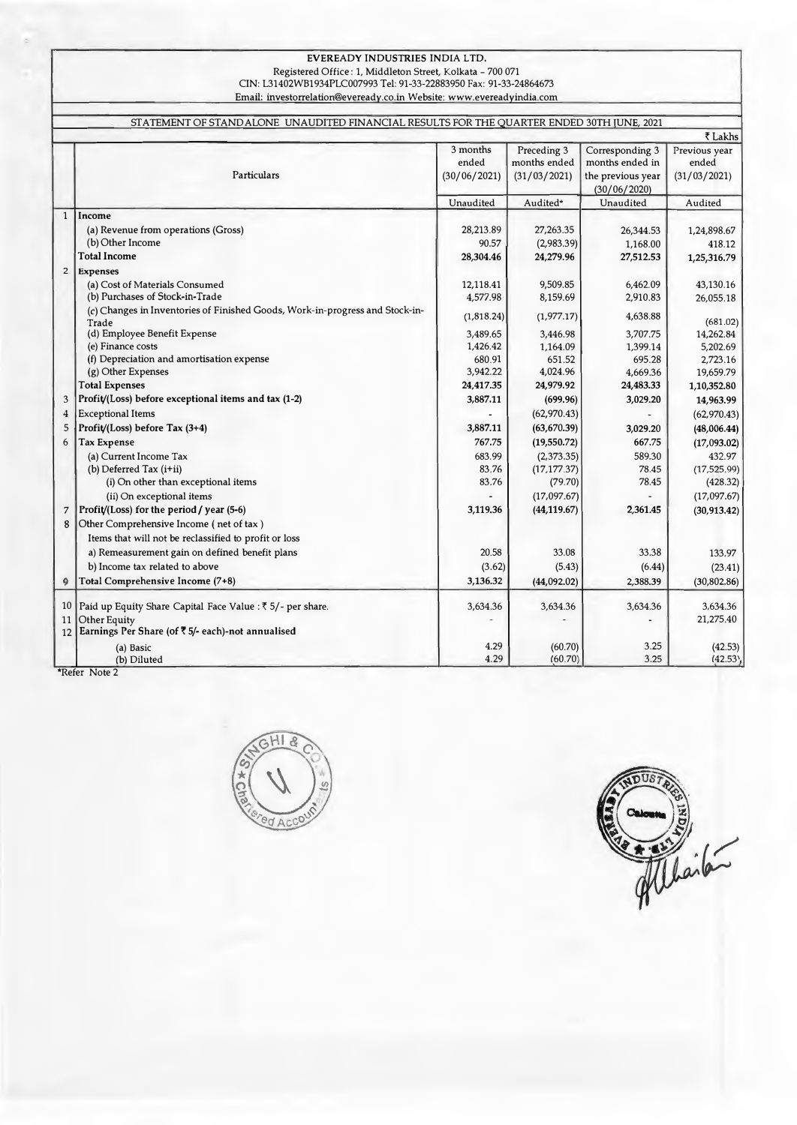# EVEREADY INDUSTRIES INDIA LTD.

Registered Office : 1, Middleton Street, Kolkata - 700 071 CIN: L31402WB1934PLC007993 Tel: 91-33-22883950 Fax: 91-33-24864673 Email: investorrelation@evereadv.co.in Website: www.evereadvindia.com

|                | STATEMENT OF STAND ALONE UNAUDITED FINANCIAL RESULTS FOR THE QUARTER ENDED 30TH JUNE, 2021 |              |              |                   |                          |  |  |  |
|----------------|--------------------------------------------------------------------------------------------|--------------|--------------|-------------------|--------------------------|--|--|--|
|                |                                                                                            | 3 months     | Preceding 3  | Corresponding 3   | ₹ Lakhs<br>Previous year |  |  |  |
|                |                                                                                            | ended        | months ended | months ended in   | ended                    |  |  |  |
|                | Particulars                                                                                | (30/06/2021) | (31/03/2021) | the previous year | (31/03/2021)             |  |  |  |
|                |                                                                                            |              |              | (30/06/2020)      |                          |  |  |  |
|                |                                                                                            | Unaudited    | Audited*     | Unaudited         | Audited                  |  |  |  |
| $\mathbf{1}$   | Income                                                                                     |              |              |                   |                          |  |  |  |
|                | (a) Revenue from operations (Gross)                                                        | 28,213.89    | 27,263.35    | 26,344.53         | 1,24,898.67              |  |  |  |
|                | (b) Other Income                                                                           | 90.57        | (2,983.39)   | 1,168.00          | 418.12                   |  |  |  |
|                | <b>Total Income</b>                                                                        | 28,304.46    | 24,279.96    | 27,512.53         | 1,25,316.79              |  |  |  |
| $\overline{2}$ | <b>Expenses</b>                                                                            |              |              |                   |                          |  |  |  |
|                | (a) Cost of Materials Consumed                                                             | 12,118.41    | 9,509.85     | 6,462.09          | 43,130.16                |  |  |  |
|                | (b) Purchases of Stock-in-Trade                                                            | 4,577.98     | 8,159.69     | 2,910.83          | 26,055.18                |  |  |  |
|                | (c) Changes in Inventories of Finished Goods, Work-in-progress and Stock-in-<br>Trade      | (1,818.24)   | (1,977.17)   | 4,638.88          | (681.02)                 |  |  |  |
|                | (d) Employee Benefit Expense                                                               | 3,489.65     | 3,446.98     | 3,707.75          | 14,262.84                |  |  |  |
|                | (e) Finance costs                                                                          | 1,426.42     | 1,164.09     | 1,399.14          | 5,202.69                 |  |  |  |
|                | (f) Depreciation and amortisation expense                                                  | 680.91       | 651.52       | 695.28            | 2,723.16                 |  |  |  |
|                | (g) Other Expenses                                                                         | 3,942.22     | 4,024.96     | 4,669.36          | 19,659.79                |  |  |  |
|                | <b>Total Expenses</b>                                                                      | 24,417.35    | 24,979.92    | 24,483.33         | 1,10,352.80              |  |  |  |
| 3              | Profit/(Loss) before exceptional items and tax (1-2)                                       | 3,887.11     | (699.96)     | 3.029.20          | 14,963.99                |  |  |  |
| $\overline{4}$ | <b>Exceptional Items</b>                                                                   |              | (62,970.43)  |                   | (62,970.43)              |  |  |  |
| 5              | Profit/(Loss) before Tax (3+4)                                                             | 3,887.11     | (63, 670.39) | 3,029.20          | (48,006.44)              |  |  |  |
| 6              | <b>Tax Expense</b>                                                                         | 767.75       | (19,550.72)  | 667.75            | (17,093.02)              |  |  |  |
|                | (a) Current Income Tax                                                                     | 683.99       | (2,373.35)   | 589.30            | 432.97                   |  |  |  |
|                | (b) Deferred Tax $(i+ii)$                                                                  | 83.76        | (17, 177.37) | 78.45             | (17, 525.99)             |  |  |  |
|                | (i) On other than exceptional items                                                        | 83.76        | (79.70)      | 78.45             | (428.32)                 |  |  |  |
|                | (ii) On exceptional items                                                                  |              | (17,097.67)  |                   | (17,097.67)              |  |  |  |
| 7              | Profit/(Loss) for the period / year (5-6)                                                  | 3,119.36     | (44, 119.67) | 2.361.45          | (30, 913.42)             |  |  |  |
| 8              | Other Comprehensive Income (net of tax)                                                    |              |              |                   |                          |  |  |  |
|                | Items that will not be reclassified to profit or loss                                      |              |              |                   |                          |  |  |  |
|                | a) Remeasurement gain on defined benefit plans                                             | 20.58        | 33.08        | 33.38             | 133.97                   |  |  |  |
|                | b) Income tax related to above                                                             | (3.62)       | (5.43)       | (6.44)            | (23.41)                  |  |  |  |
| 4              | Total Comprehensive Income (7+8)                                                           | 3,136.32     | (44,092.02)  | 2,388.39          | (30, 802.86)             |  |  |  |
|                | 10   Paid up Equity Share Capital Face Value : ₹ 5/- per share.                            | 3,634.36     | 3,634.36     | 3.634.36          | 3.634.36                 |  |  |  |
| 11             | <b>Other Equity</b>                                                                        |              |              |                   | 21,275.40                |  |  |  |
|                | 12 Earnings Per Share (of ₹5/- each)-not annualised                                        |              |              |                   |                          |  |  |  |
|                | (a) Basic                                                                                  | 4.29         | (60.70)      | 3.25              | (42.53)                  |  |  |  |
|                | (b) Diluted                                                                                | 4.29         | (60.70)      | 3.25              | (42.53)                  |  |  |  |



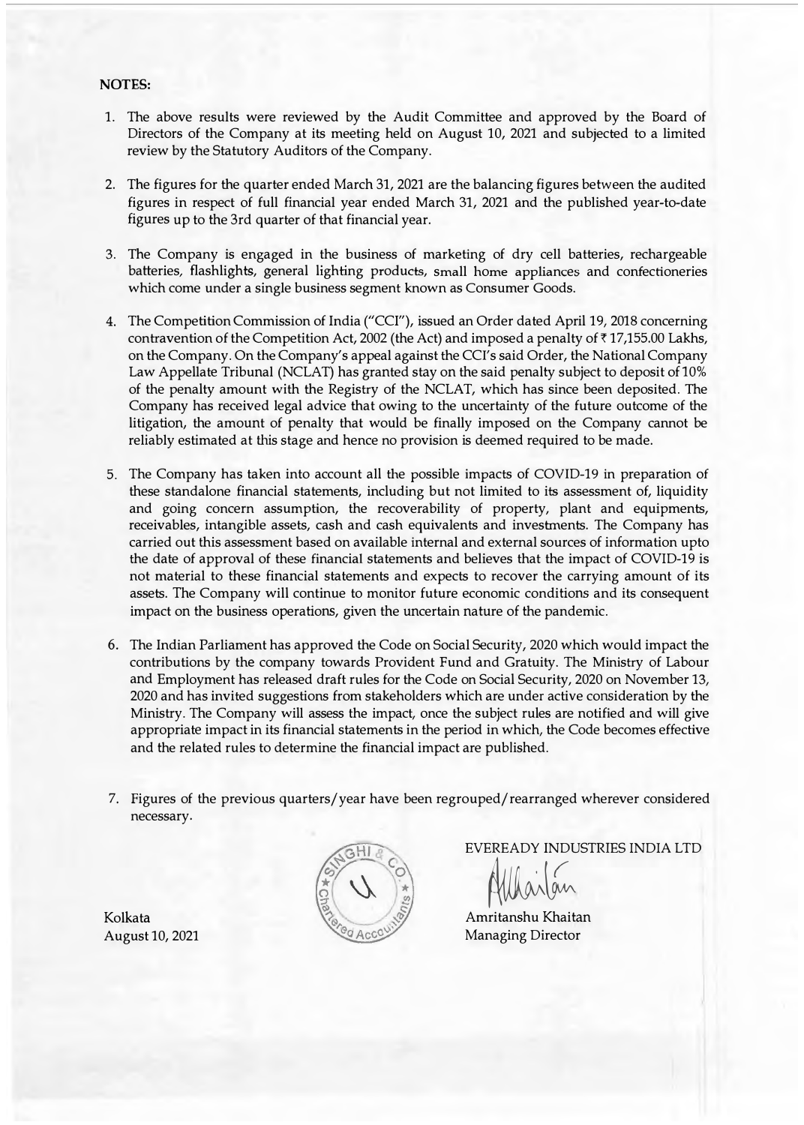## **NOTES:**

- 1. The above results were reviewed by the Audit Committee and approved by the Board of Directors of the Company at its meeting held on August 10, 2021 and subjected to a limited review by the Statutory Auditors of the Company.
- 2. The figures for the quarter ended March 31, 2021 are the balancing figures between the audited figures in respect of full financial year ended March 31, 2021 and the published year-to-date figures up to the 3rd quarter of that financial year.
- 3. The Company is engaged in the business of marketing of dry cell batteries, rechargeable batteries, flashlights, general lighting products, small home appliances and confectioneries which come under a single business segment known as Consumer Goods.
- 4. The Competition Commission of India ("CCI"), issued an Order dated April 19, 2018 concerning contravention of the Competition Act, 2002 (the Act) and imposed a penalty of  $\bar{\tau}$  17,155.00 Lakhs, on the Company. On the Company's appeal against the CCI's said Order, the National Company Law Appellate Tribunal (NCLAT) has granted stay on the said penalty subject to deposit of 10% of the penalty amount with the Registry of the NCLAT, which has since been deposited. The Company has received legal advice that owing to the uncertainty of the future outcome of the litigation, the amount of penalty that would be finally imposed on the Company cannot be reliably estimated at this stage and hence no provision is deemed required to be made.
- 5. The Company has taken into account all the possible impacts of COVID-19 in preparation of these standalone financial statements, including but not limited to its assessment of, liquidity and going concern assumption, the recoverability of property, plant and equipments, receivables, intangible assets, cash and cash equivalents and investments. The Company has carried out this assessment based on available internal and external sources of information upto the date of approval of these financial statements and believes that the impact of COVID-19 is not material to these financial statements and expects to recover the carrying amount of its assets. The Company will continue to monitor future economic conditions and its consequent impact on the business operations, given the uncertain nature of the pandemic.
- 6. The Indian Parliament has approved the Code on Social Security, 2020 which would impact the contributions by the company towards Provident Fund and Gratuity. The Ministry of Labour and Employment has released draft rules for the Code on Social Security, 2020 on November 13, 2020 and has invited suggestions from stakeholders which are under active consideration by the Ministry. The Company will assess the impact, once the subject rules are notified and will give appropriate impact in its financial statements in the period in which, the Code becomes effective and the related rules to determine the financial impact are published.
- 7. Figures of the previous quarters/year have been regrouped/rearranged wherever considered necessary.



EVEREADY INDUSTRIES INDIA LTD

Mario

Amritanshu Khaitan Managing Director

Kolkata August 10, 2021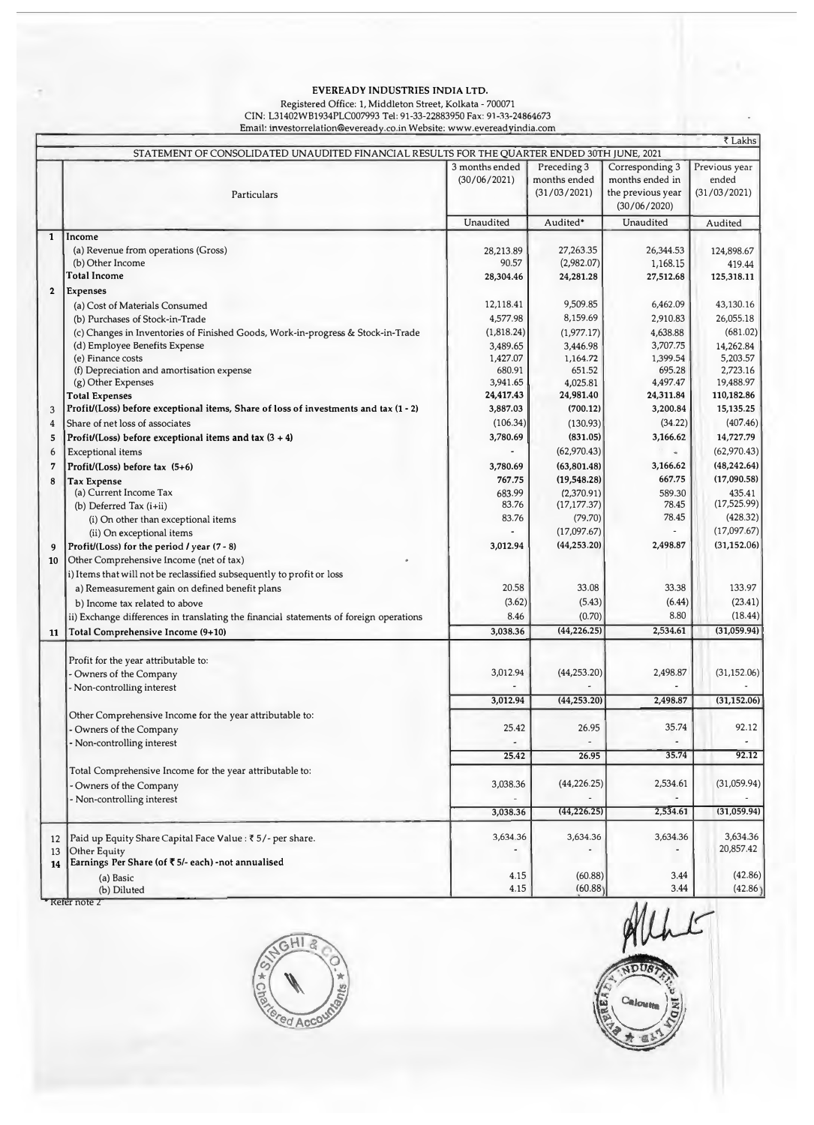# EVEREADY INDUSTRIES INDIA LTD.

#### Registered Office: 1, Middleton Street, Kolkata - 700071 CIN: L31402WB1934PLC007993 Tel: 91-33-22883950 Fax: 91-33-24864673 Email: investorrelation@eveready.co.in Website: www.evereadyindia.com

|              |                                                                                             |                |              |                   | ₹ Lakhs                  |
|--------------|---------------------------------------------------------------------------------------------|----------------|--------------|-------------------|--------------------------|
|              | STATEMENT OF CONSOLIDATED UNAUDITED FINANCIAL RESULTS FOR THE QUARTER ENDED 30TH JUNE, 2021 |                |              |                   |                          |
|              |                                                                                             | 3 months ended | Preceding 3  | Corresponding 3   | Previous year            |
|              |                                                                                             | (30/06/2021)   | months ended | months ended in   | ended                    |
|              | Particulars                                                                                 |                | (31/03/2021) | the previous year | (31/03/2021)             |
|              |                                                                                             |                |              | (30/06/2020)      |                          |
|              |                                                                                             | Unaudited      | Audited*     | Unaudited         | Audited                  |
| $\mathbf{1}$ | Income                                                                                      |                |              |                   |                          |
|              | (a) Revenue from operations (Gross)                                                         | 28,213.89      | 27,263.35    | 26,344.53         | 124,898.67               |
|              | (b) Other Income                                                                            | 90.57          | (2,982.07)   | 1,168.15          | 419.44                   |
|              | <b>Total Income</b>                                                                         | 28,304.46      | 24,281.28    | 27,512.68         | 125,318.11               |
| $\mathbf 2$  | <b>Expenses</b>                                                                             |                |              |                   |                          |
|              | (a) Cost of Materials Consumed                                                              | 12,118.41      | 9,509.85     | 6,462.09          | 43,130.16                |
|              | (b) Purchases of Stock-in-Trade                                                             | 4,577.98       | 8,159.69     | 2,910.83          | 26,055.18                |
|              | (c) Changes in Inventories of Finished Goods, Work-in-progress & Stock-in-Trade             | (1,818.24)     | (1,977.17)   | 4,638.88          | (681.02)                 |
|              | (d) Employee Benefits Expense                                                               | 3,489.65       | 3,446.98     | 3,707.75          | 14,262.84                |
|              | (e) Finance costs                                                                           | 1,427.07       | 1,164.72     | 1,399.54          | 5,203.57                 |
|              | (f) Depreciation and amortisation expense                                                   | 680.91         | 651.52       | 695.28            | 2,723.16                 |
|              | (g) Other Expenses                                                                          | 3,941.65       | 4,025.81     | 4,497.47          | 19,488.97                |
|              | <b>Total Expenses</b>                                                                       | 24,417.43      | 24,981.40    | 24,311.84         | 110,182.86               |
| 3            | Profit/(Loss) before exceptional items, Share of loss of investments and tax (1 - 2)        | 3,887.03       | (700.12)     | 3,200.84          | 15,135.25                |
| 4            | Share of net loss of associates                                                             | (106.34)       | (130.93)     | (34.22)           | (407.46)                 |
| 5            | Profit/(Loss) before exceptional items and tax $(3 + 4)$                                    | 3,780.69       | (831.05)     | 3,166.62          | 14,727.79                |
| 6            | Exceptional items                                                                           |                | (62,970.43)  |                   | (62,970.43)              |
| 7            | Profit/(Loss) before tax $(5+6)$                                                            | 3,780.69       | (63, 801.48) | 3,166.62          | (48, 242.64)             |
| 8            | <b>Tax Expense</b>                                                                          | 767.75         | (19, 548.28) | 667.75            | (17,090.58)              |
|              | (a) Current Income Tax                                                                      | 683.99         | (2,370.91)   | 589.30            | 435.41                   |
|              | (b) Deferred Tax $(i+ii)$                                                                   | 83.76          | (17, 177.37) | 78.45             | (17,525.99)              |
|              | (i) On other than exceptional items                                                         | 83.76          | (79.70)      | 78.45             | (428.32)                 |
|              | (ii) On exceptional items                                                                   |                | (17,097.67)  |                   | (17,097.67)              |
| 9            | Profit/(Loss) for the period / year (7 - 8)                                                 | 3,012.94       | (44, 253.20) | 2,498.87          | (31, 152.06)             |
| 10           | Other Comprehensive Income (net of tax)                                                     |                |              |                   |                          |
|              | i) Items that will not be reclassified subsequently to profit or loss                       |                |              |                   |                          |
|              | a) Remeasurement gain on defined benefit plans                                              | 20.58          | 33.08        | 33.38             | 133.97                   |
|              | b) Income tax related to above                                                              | (3.62)         | (5.43)       | (6.44)            | (23.41)                  |
|              | ii) Exchange differences in translating the financial statements of foreign operations      | 8.46           | (0.70)       | 8.80              | (18.44)                  |
| 11           | Total Comprehensive Income (9+10)                                                           | 3,038.36       | (44, 226.25) | 2,534.61          | (31,059.94)              |
|              |                                                                                             |                |              |                   |                          |
|              | Profit for the year attributable to:                                                        |                |              |                   |                          |
|              | Owners of the Company                                                                       | 3,012.94       | (44, 253.20) | 2,498.87          | (31, 152.06)             |
|              | Non-controlling interest                                                                    |                |              |                   |                          |
|              |                                                                                             | 3,012.94       | (44, 253.20) | 2,498.87          | (31, 152.06)             |
|              | Other Comprehensive Income for the year attributable to:                                    |                |              |                   |                          |
|              | Owners of the Company                                                                       | 25.42          | 26.95        | 35.74             | 92.12                    |
|              | Non-controlling interest                                                                    |                |              |                   | $\overline{\phantom{a}}$ |
|              |                                                                                             | 25.42          | 26.95        | 35.74             | 92.12                    |
|              | Total Comprehensive Income for the year attributable to:                                    |                |              |                   |                          |
|              |                                                                                             | 3,038.36       | (44, 226.25) | 2,534.61          | (31,059.94)              |
|              | Owners of the Company                                                                       |                |              |                   |                          |
|              | Non-controlling interest                                                                    | 3,038.36       | (44, 226.25) | 2,534.61          | (31,059.94)              |
|              |                                                                                             |                |              |                   |                          |
| 12           | Paid up Equity Share Capital Face Value : ₹5/- per share.                                   | 3,634.36       | 3,634.36     | 3,634.36          | 3,634.36                 |
| 13           | Other Equity                                                                                |                |              |                   | 20,857.42                |
| 14           | Earnings Per Share (of ₹5/- each) -not annualised                                           |                |              |                   |                          |
|              | (a) Basic                                                                                   | 4.15           | (60.88)      | 3.44              | (42.86)                  |
|              | (b) Diluted                                                                                 | 4.15           | (60.88)      | 3.44              | (42.86)                  |

• Refer note 2



Alhe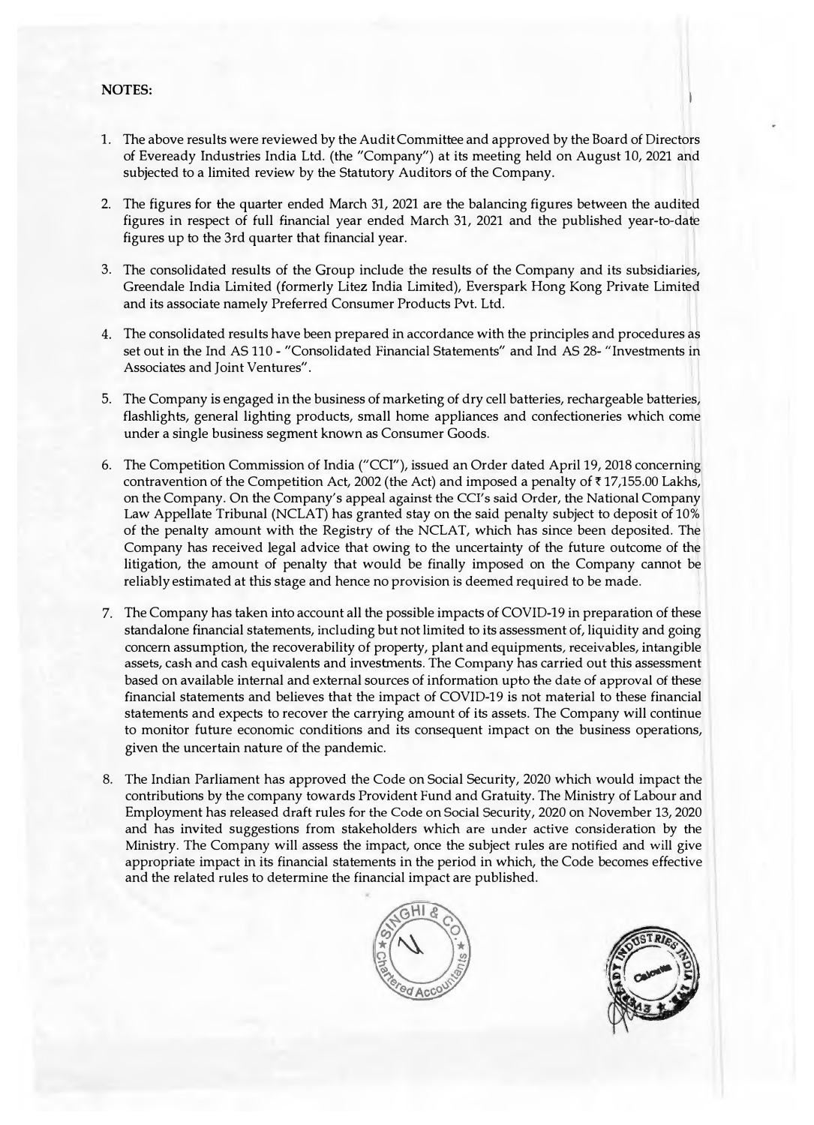# **NOTES:**

- 1. The above results were reviewed by the Audit Committee and approved by the Board of Directors of Eveready Industries India Ltd. (the "Company") at its meeting held on August 10, 2021 and subjected to a limited review by the Statutory Auditors of the Company.
- 2. The figures for the quarter ended March 31, 2021 are the balancing figures between the audited figures in respect of full financial year ended March 31, 2021 and the published year-to-date figures up to the 3rd quarter that financial year.
- 3. The consolidated results of the Group include the results of the Company and its subsidiaries, Greendale India Limited (formerly Litez India Limited), Everspark Hong Kong Private Limited and its associate namely Preferred Consumer Products Pvt. Ltd.
- 4. The consolidated results have been prepared in accordance with the principles and procedures as set out in the Ind AS 110 - "Consolidated Financial Statements" and Ind AS 28- "Investments in Associates and Joint Ventures".
- 5. The Company is engaged in the business of marketing of dry cell batteries, rechargeable batteries, flashlights, general lighting products, small home appliances and confectioneries which come under a single business segment known as Consumer Goods.
- 6. The Competition Commission of India ("CCI"), issued an Order dated April 19, 2018 concerning contravention of the Competition Act, 2002 (the Act) and imposed a penalty of ₹17,155.00 Lakhs, on the Company. On the Company's appeal against the CCl's said Order, the National Company Law Appellate Tribunal (NCLAT) has granted stay on the said penalty subject to deposit of 10% of the penalty amount with the Registry of the NCLAT, which has since been deposited. The Company has received legal advice that owing to the uncertainty of the future outcome of the litigation, the amount of penalty that would be finally imposed on the Company cannot be reliably estimated at this stage and hence no provision is deemed required to be made.
- 7. The Company has taken into account all the possible impacts of COVID-19 in preparation of these standalone financial statements, including but not limited to its assessment of, liquidity and going concern assumption, the recoverability of property, plant and equipments, receivables, intangible assets, cash and cash equivalents and investments. The Company has carried out this assessment based on available internal and external sources of information upto the date of approval of these financial statements and believes that the impact of COVID-19 is not material to these financial statements and expects to recover the carrying amount of its assets. The Company will continue to monitor future economic conditions and its consequent impact on the business operations, given the uncertain nature of the pandemic.
- 8. The Indian Parliament has approved the Code on Social Security, 2020 which would impact the contributions by the company towards Provident Fund and Gratuity. The Ministry of Labour and Employment has released draft rules for the Code on Social Security, 2020 on November 13, 2020 and has invited suggestions from stakeholders which are under active consideration by the Ministry. The Company will assess the impact, once the subject rules are notified and will give appropriate impact in its financial statements in the period in which, the Code becomes effective and the related rules to determine the financial impact are published.



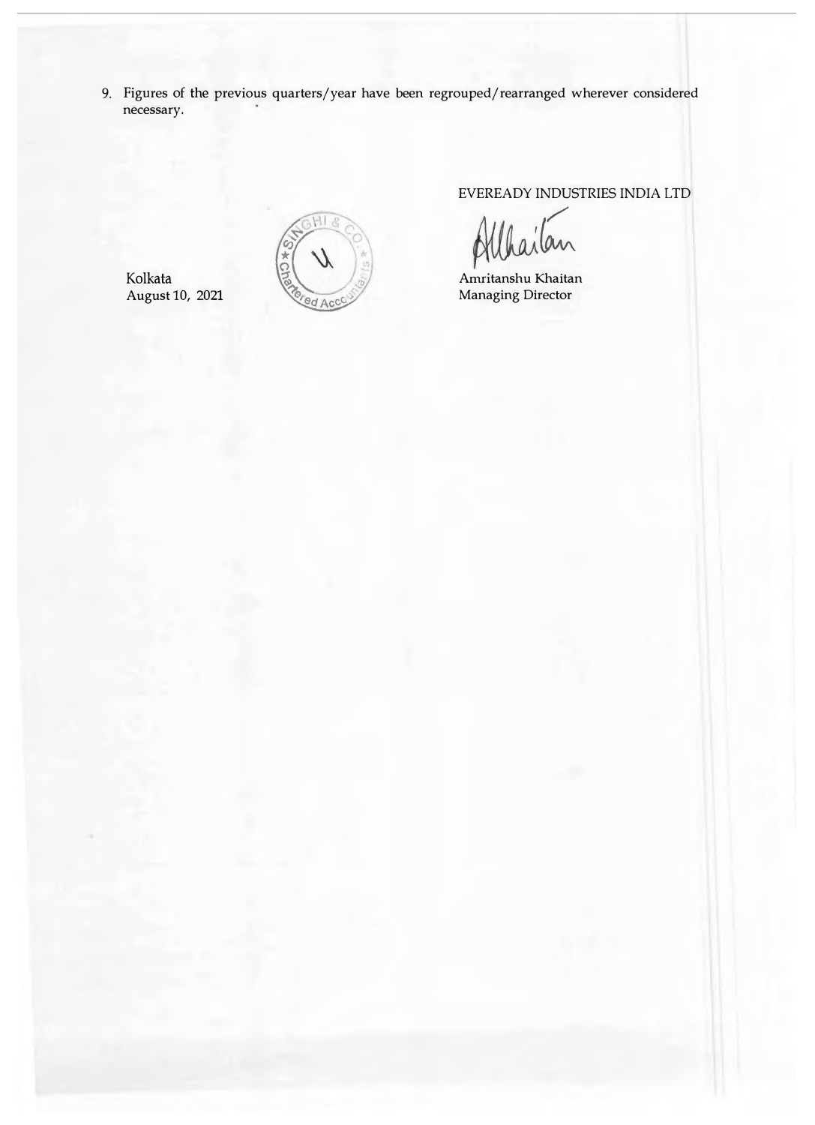9. Figures of the previous quarters/year have been regrouped/rearranged wherever considered necessary.

Kolkata August 10, 2021



EVEREADY INDUSTRIES INDIA LTD

Amritanshu Khaitan Managing Director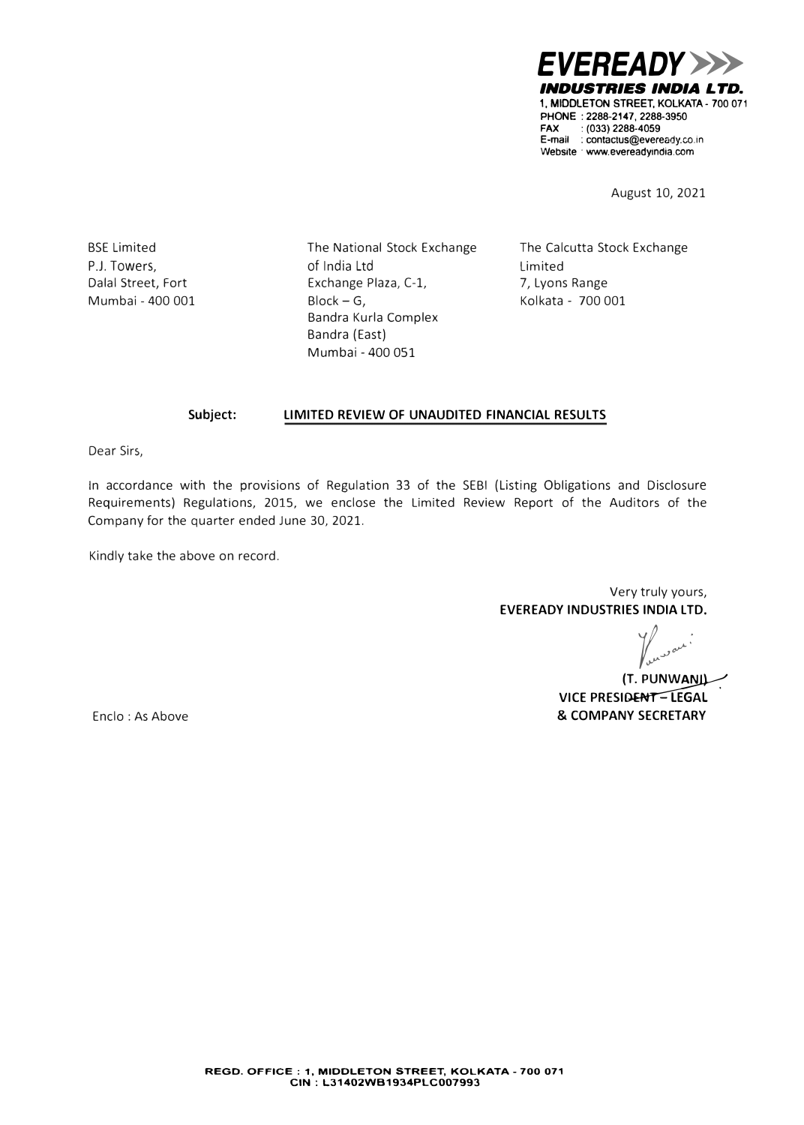*EVEREADY>>> INDUSTRIES INDIA LTD.*  **1, MIDDLETON STREET, KOLKATA • 700 071 PHONE : 2288-2147, 2288-3950 FAX :(033)2288-4059**  E-mail : contactus@eveready.co.in **Website** · **www.evereadyindia.com**

August 10, 2021

BSE Limited P.J. Towers, Dalal Street, Fort Mumbai - 400 001 The National Stock Exchange of India Ltd Exchange Plaza, C·l,  $Block - G$ , Bandra Kurla Complex Bandra (East) Mumbai - 400 051

The Calcutta Stock Exchange Limited 7, Lyons Range Kolkata - 700 001

#### **Subject: LIMITED REVIEW OF UNAUDITED FINANCIAL RESULTS**

Dear Sirs,

In accordance with the provisions of Regulation 33 of the SEBI (Listing Obligations and Disclosure Requirements) Regulations, 2015, we enclose the Limited Review Report of the Auditors of the Company for the quarter ended June 30, 2021.

Kindly take the above on record.

Very truly yours, **EVEREADY INDUSTRIES INDIA LTD.** 

**t...**<br>(T. PUNW<u>ANI)</u>

**VICE PRESIDENT-LEGAL & COMPANY SECRETARY** 

Enclo : As Above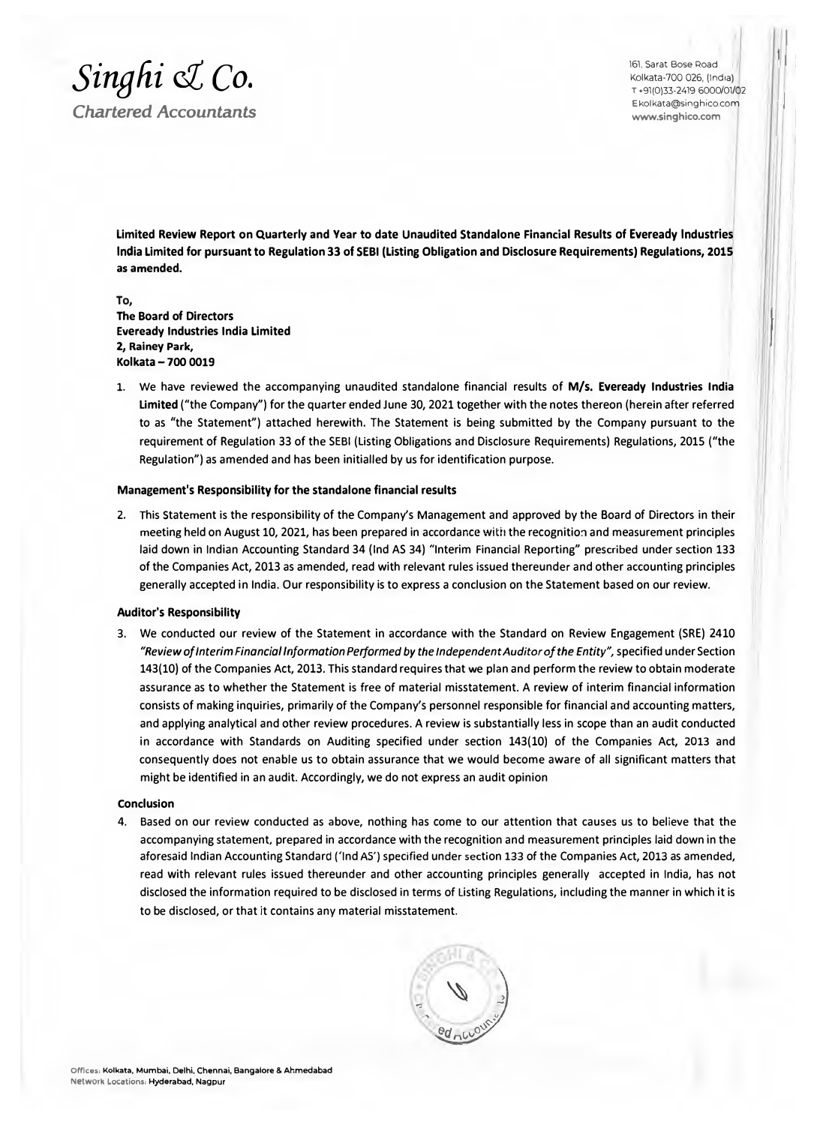

161. Sarat Bose Road Kolkata-700 026, (India) **T** +91(0)33-2419 6000/01/02 E kolkata@singhico.com **www.singhico.com** 

I

I

**Limited Review Report on Quarterly and Year to date Unaudited Standalone Financial Results of Eveready Industries India Limited for pursuant to Regulation 33 of SEBI (Listing Obligation and Disclosure Requirements) Regulations, 2015 as amended.** 

**To, The Board of Directors Eveready Industries India Limited 2, Rainey Park, Kolkata - 700 0019** 

1. We have reviewed the accompanying unaudited standalone financial results of **M/s. Eveready Industries India Limited** ("the Company") for the quarter ended June 30, 2021 together with the notes thereon (herein after referred to as "the Statement") attached herewith. The Statement is being submitted by the Company pursuant to the requirement of Regulation 33 of the SEBI (Listing Obligations and Disclosure Requirements) Regulations, 2015 ("the Regulation") as amended and has been initialled by us for identification purpose.

## **Management's Responsibility for the standalone financial results**

2. This Statement is the responsibility of the Company's Management and approved by the Board of Directors in their meeting held on August 10, 2021, has been prepared in accordance with the recognition and measurement principles laid down in Indian Accounting Standard 34 {Ind AS 34) "Interim Financial Reporting" prescribed under section 133 of the Companies Act, 2013 as amended, read with relevant rules issued thereunder and other accounting principles generally accepted in India. Our responsibility is to express a conclusion on the Statement based on our review.

### **Auditor's Responsibility**

3. We conducted our review of the Statement in accordance with the Standard on Review Engagement (SRE) 2410 *"Review of Interim Financial Information Performed by the Independent Auditor of the Entity",* specified under Section 143(10) of the Companies Act, 2013. This standard requires that we plan and perform the review to obtain moderate assurance as to whether the Statement is free of material misstatement. A review of interim financial information consists of making inquiries, primarily of the Company's personnel responsible for financial and accounting matters, and applying analytical and other review procedures. A review is substantially less in scope than an audit conducted in accordance with Standards on Auditing specified under section 143(10) of the Companies Act, 2013 and consequently does not enable us to obtain assurance that we would become aware of all significant matters that might be identified in an audit. Accordingly, we do not express an audit opinion

## **Conclusion**

4. Based on our review conducted as above, nothing has come to our attention that causes us to believe that the accompanying statement, prepared in accordance with the recognition and measurement principles laid down in the aforesaid Indian Accounting Standard ('Ind AS') specified under section 133 of the Companies Act, 2013 as amended, read with relevant rules issued thereunder and other accounting principles generally accepted in India, has not disclosed the information required to be disclosed in terms of listing Regulations, including the manner in which it is to be disclosed, or that it contains any material misstatement.

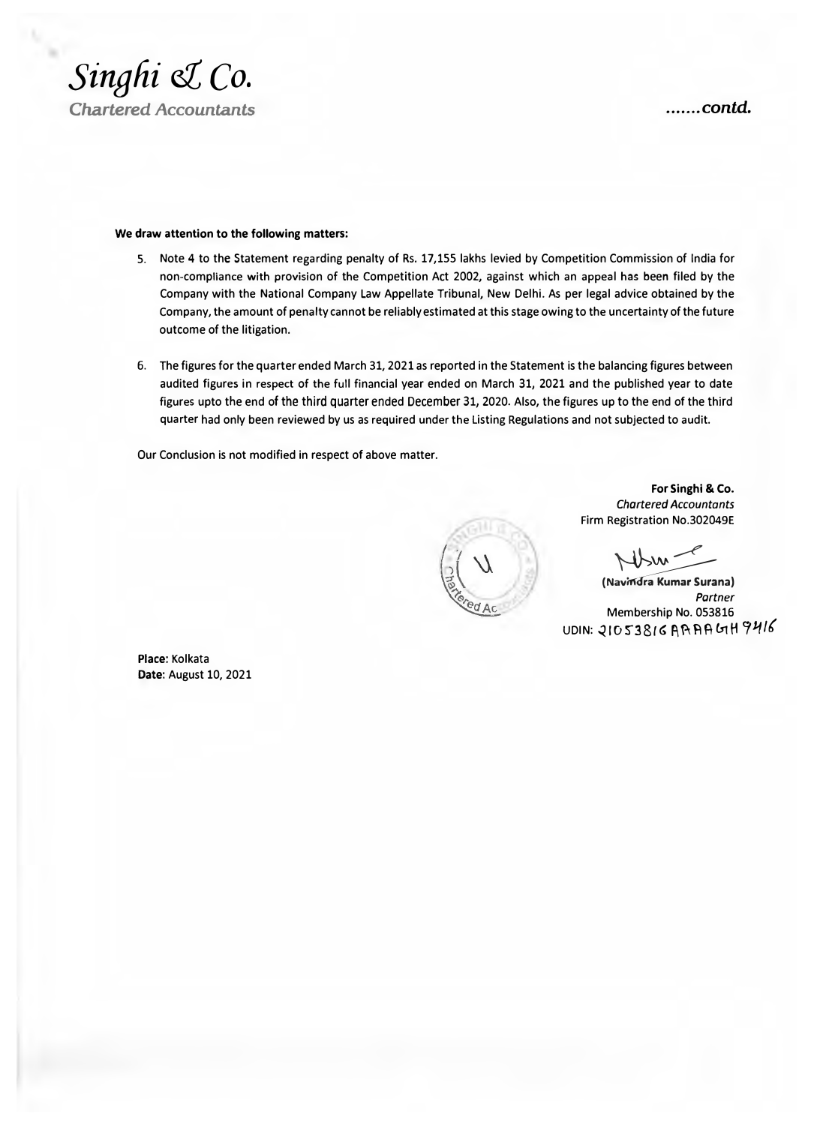

### **We draw attention to the following matters:**

- 5. Note 4 to the Statement regarding penalty of Rs. 17,155 lakhs levied by Competition Commission of India for non-compliance with provision of the Competition Act 2002, against which an appeal has been filed by the Company with the National Company Law Appellate Tribunal, New Delhi. As per legal advice obtained by the Company, the amount of penalty cannot be reliably estimated at this stage owing to the uncertainty of the future outcome of the litigation.
- 6. The figures for the quarter ended March 31, 2021 as reported in the Statement is the balancing figures between audited figures in respect of the full financial year ended on March 31, 2021 and the published year to date figures upto the end of the third quarter ended December 31, 2020. Also, the figures up to the end of the third quarter had only been reviewed by us as required under the Listing Regulations and not subjected to audit.

Our Conclusion is not modified in respect of above matter.

**For Singh! & Co.**  *Chartered Accountants*  Firm Registration No.302049E

 $W_{w-1}$ 

(Navindra Kumar Surana) *Partner*  Membership No. 053816 UDIN: 21053816 AAAAGH9416

**Place:** Kolkata **Date:** August 10, 2021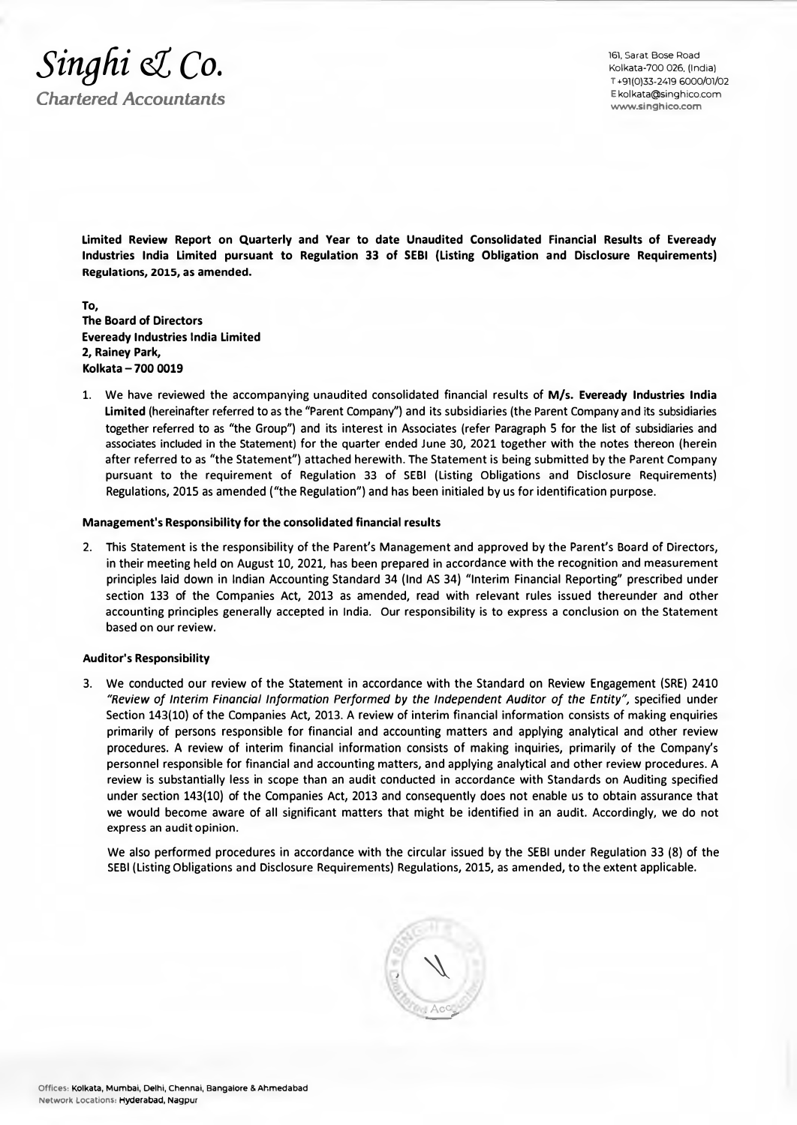

161, Sarat Bose Road Kolkata-700 026, (India) T •91(0)33-2419 6000/01/02 **www.s inghico.com**  Ekolkata@singhico.com

**Limited Review Report on Quarterly and Year to date Unaudited Consolidated Financial Results of Eveready Industries India Limited pursuant to Regulation 33 of SEBI (Listing Obligation and Disclosure Requirements) Regulations, 2015, as amended.** 

**To, The Board of Directors Eveready Industries India Limited 2, Rainey Park, Kolkata - 700 0019** 

1. We have reviewed the accompanying unaudited consolidated financial results of **M/s. Eveready Industries India Limited** (hereinafter referred to as the "Parent Company") and its subsidiaries (the Parent Company and its subsidiaries together referred to as "the Group") and its interest in Associates (refer Paragraph S for the list of subsidiaries and associates included in the Statement) for the quarter ended June 30, 2021 together with the notes thereon (herein after referred to as "the Statement") attached herewith. The Statement is being submitted by the Parent Company pursuant to the requirement of Regulation 33 of SEBI (Listing Obligations and Disclosure Requirements) Regulations, 2015 as amended ("the Regulation") and has been initialed by us for identification purpose.

## **Management's Responsibility for the consolidated financial results**

2. This Statement is the responsibility of the Parent's Management and approved by the Parent's Board of Directors, in their meeting held on August 10, 2021, has been prepared in accordance with the recognition and measurement principles laid down in Indian Accounting Standard 34 (Ind AS 34) "Interim Financial Reporting" prescribed under section 133 of the Companies Act, 2013 as amended, read with relevant rules issued thereunder and other accounting principles generally accepted in India. Our responsibility is to express a conclusion on the Statement based on our review.

#### **Auditor's Responsibility**

3. We conducted our review of the Statement in accordance with the Standard on Review Engagement (SRE) 2410 *"Review of Interim Financial Information Performed by the Independent Auditor of the Entity",* specified under Section 143(10) of the Companies Act, 2013. A review of interim financial information consists of making enquiries primarily of persons responsible for financial and accounting matters and applying analytical and other review procedures. A review of interim financial information consists of making inquiries, primarily of the Company's personnel responsible for financial and accounting matters, and applying analytical and other review procedures. A review is substantially less in scope than an audit conducted in accordance with Standards on Auditing specified under section 143(10) of the Companies Act, 2013 and consequently does not enable us to obtain assurance that we would become aware of all significant matters that might be identified in an audit. Accordingly, we do not express an audit opinion.

We also performed procedures in accordance with the circular issued by the SEBI under Regulation 33 (8) of the SEBI (Listing Obligations and Disclosure Requirements) Regulations, 2015, as amended, to the extent applicable.

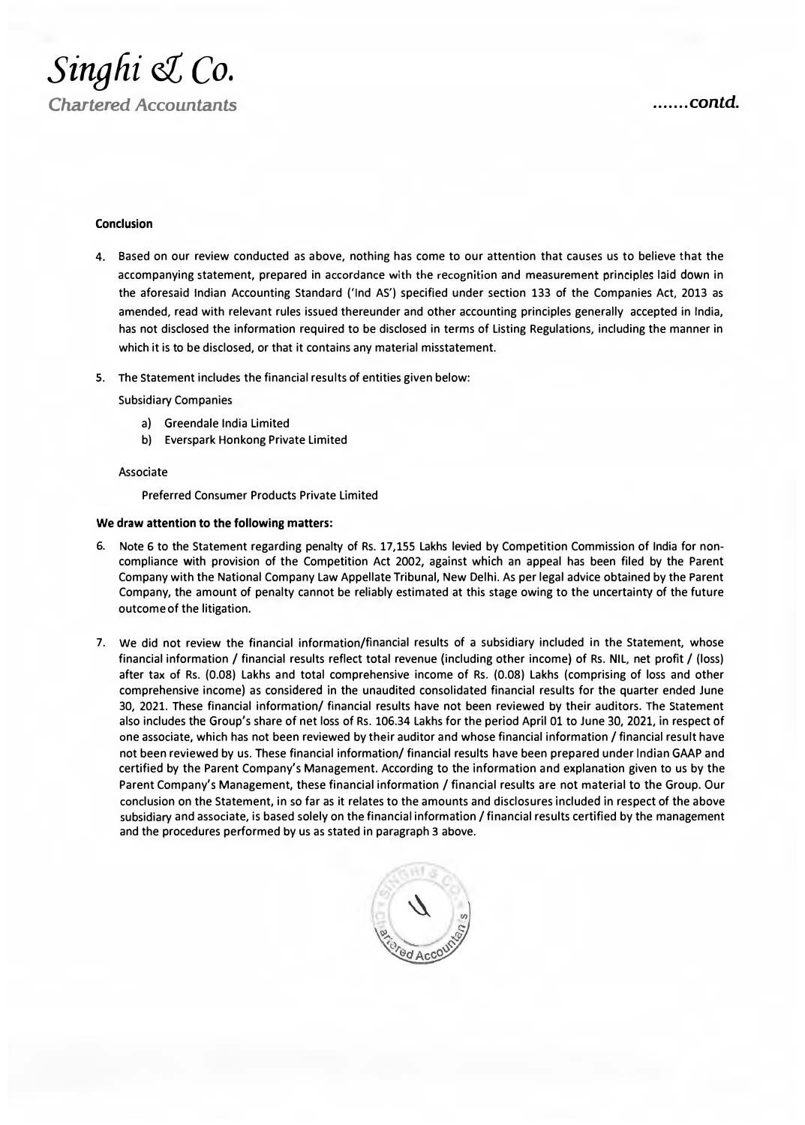

### **Conclusion**

- 4. Based on our review conducted as above, nothing has come to our attention that causes us to believe that the accompanying statement, prepared in accordance with the recognition and measurement principles laid down in the aforesaid Indian Accounting Standard ('Ind AS') specified under section 133 of the Companies Act, 2013 as amended, read with relevant rules issued thereunder and other accounting principles generally accepted in India, has not disclosed the information required to be disclosed in terms of Listing Regulations, including the manner in which it is to be disclosed, or that it contains any material misstatement.
- 5. The Statement includes the financial results of entities given below:

Subsidiary Companies

- a) Greendale India Limited
- b) Everspark Honkong Private Limited

#### Associate

Preferred Consumer Products Private Limited

#### **We draw attention to the following matters:**

- 6. Note 6 to the Statement regarding penalty of Rs. 17,lSS Lakhs levied by Competition Commission of India for noncompliance with provision of the Competition Act 2002, against which an appeal has been filed by the Parent Company with the National Company Law Appellate Tribunal, New Delhi. As per legal advice obtained by the Parent Company, the amount of penalty cannot be reliably estimated at this stage owing to the uncertainty of the future outcome of the litigation.
- 7. We did not review the financial information/financial results of a subsidiary included in the Statement, whose financial information / financial results reflect total revenue (including other income) of Rs. NIL, net profit / (loss) after tax of Rs. (0.08) Lakhs and total comprehensive income of Rs. (0.08) Lakhs (comprising of loss and other comprehensive income) as considered in the unaudited consolidated financial results for the quarter ended June 30, 2021. These financial information/ financial results have not been reviewed by their auditors. The Statement also includes the Group's share of net loss of Rs. 106.34 Lakhs for the period April 01 to June 30, 2021, in respect of one associate, which has not been reviewed by their auditor and whose financial information / financial result have not been reviewed by us. These financial information/ financial results have been prepared under Indian GAAP and certified by the Parent Company's Management. According to the information and explanation given to us by the Parent Company's Management, these financial information / financial results are not material to the Group. Our conclusion on the Statement, in so far as it relates to the amounts and disclosures included in respect of the above subsidiary and associate, is based solely on the financial information / financial results certified by the management and the procedures performed by us as stated in paragraph 3 above.